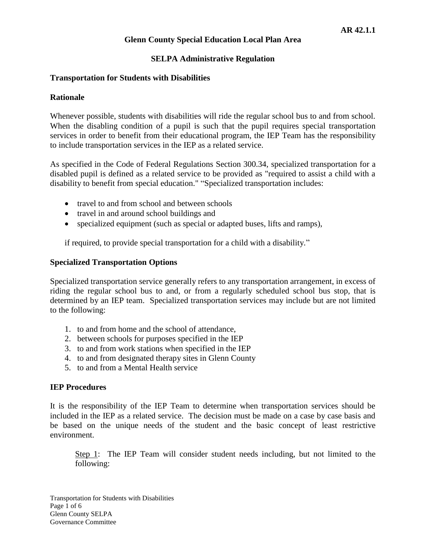### **SELPA Administrative Regulation**

### **Transportation for Students with Disabilities**

### **Rationale**

Whenever possible, students with disabilities will ride the regular school bus to and from school. When the disabling condition of a pupil is such that the pupil requires special transportation services in order to benefit from their educational program, the IEP Team has the responsibility to include transportation services in the IEP as a related service.

As specified in the Code of Federal Regulations Section 300.34, specialized transportation for a disabled pupil is defined as a related service to be provided as "required to assist a child with a disability to benefit from special education." "Specialized transportation includes:

- travel to and from school and between schools
- travel in and around school buildings and
- specialized equipment (such as special or adapted buses, lifts and ramps),

if required, to provide special transportation for a child with a disability."

### **Specialized Transportation Options**

Specialized transportation service generally refers to any transportation arrangement, in excess of riding the regular school bus to and, or from a regularly scheduled school bus stop, that is determined by an IEP team. Specialized transportation services may include but are not limited to the following:

- 1. to and from home and the school of attendance,
- 2. between schools for purposes specified in the IEP
- 3. to and from work stations when specified in the IEP
- 4. to and from designated therapy sites in Glenn County
- 5. to and from a Mental Health service

### **IEP Procedures**

It is the responsibility of the IEP Team to determine when transportation services should be included in the IEP as a related service. The decision must be made on a case by case basis and be based on the unique needs of the student and the basic concept of least restrictive environment.

Step 1: The IEP Team will consider student needs including, but not limited to the following: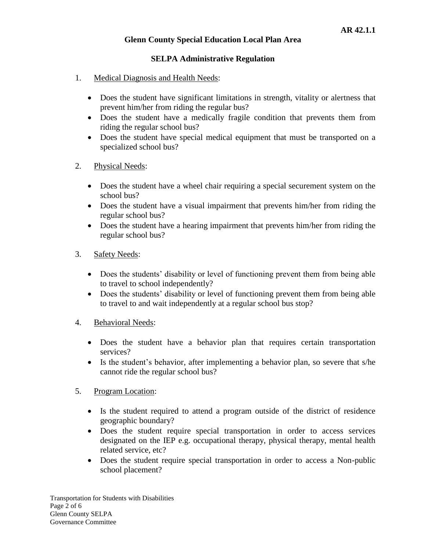# **SELPA Administrative Regulation**

- 1. Medical Diagnosis and Health Needs:
	- Does the student have significant limitations in strength, vitality or alertness that prevent him/her from riding the regular bus?
	- Does the student have a medically fragile condition that prevents them from riding the regular school bus?
	- Does the student have special medical equipment that must be transported on a specialized school bus?
- 2. Physical Needs:
	- Does the student have a wheel chair requiring a special securement system on the school bus?
	- Does the student have a visual impairment that prevents him/her from riding the regular school bus?
	- Does the student have a hearing impairment that prevents him/her from riding the regular school bus?
- 3. Safety Needs:
	- Does the students' disability or level of functioning prevent them from being able to travel to school independently?
	- Does the students' disability or level of functioning prevent them from being able to travel to and wait independently at a regular school bus stop?
- 4. Behavioral Needs:
	- Does the student have a behavior plan that requires certain transportation services?
	- Is the student's behavior, after implementing a behavior plan, so severe that s/he cannot ride the regular school bus?
- 5. Program Location:
	- Is the student required to attend a program outside of the district of residence geographic boundary?
	- Does the student require special transportation in order to access services designated on the IEP e.g. occupational therapy, physical therapy, mental health related service, etc?
	- Does the student require special transportation in order to access a Non-public school placement?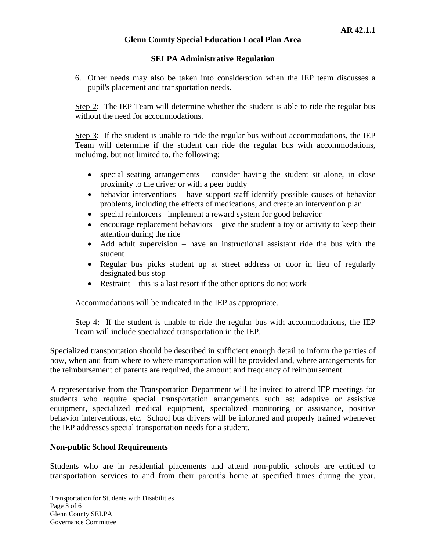# **SELPA Administrative Regulation**

6. Other needs may also be taken into consideration when the IEP team discusses a pupil's placement and transportation needs.

Step 2: The IEP Team will determine whether the student is able to ride the regular bus without the need for accommodations.

Step 3: If the student is unable to ride the regular bus without accommodations, the IEP Team will determine if the student can ride the regular bus with accommodations, including, but not limited to, the following:

- special seating arrangements consider having the student sit alone, in close proximity to the driver or with a peer buddy
- behavior interventions have support staff identify possible causes of behavior problems, including the effects of medications, and create an intervention plan
- special reinforcers –implement a reward system for good behavior
- $\bullet$  encourage replacement behaviors give the student a toy or activity to keep their attention during the ride
- Add adult supervision have an instructional assistant ride the bus with the student
- Regular bus picks student up at street address or door in lieu of regularly designated bus stop
- Restraint this is a last resort if the other options do not work

Accommodations will be indicated in the IEP as appropriate.

Step 4: If the student is unable to ride the regular bus with accommodations, the IEP Team will include specialized transportation in the IEP.

Specialized transportation should be described in sufficient enough detail to inform the parties of how, when and from where to where transportation will be provided and, where arrangements for the reimbursement of parents are required, the amount and frequency of reimbursement.

A representative from the Transportation Department will be invited to attend IEP meetings for students who require special transportation arrangements such as: adaptive or assistive equipment, specialized medical equipment, specialized monitoring or assistance, positive behavior interventions, etc. School bus drivers will be informed and properly trained whenever the IEP addresses special transportation needs for a student.

# **Non-public School Requirements**

Students who are in residential placements and attend non-public schools are entitled to transportation services to and from their parent's home at specified times during the year.

Transportation for Students with Disabilities Page 3 of 6 Glenn County SELPA Governance Committee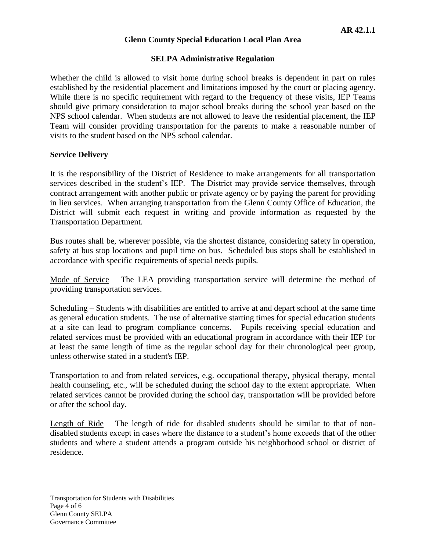### **SELPA Administrative Regulation**

Whether the child is allowed to visit home during school breaks is dependent in part on rules established by the residential placement and limitations imposed by the court or placing agency. While there is no specific requirement with regard to the frequency of these visits, IEP Teams should give primary consideration to major school breaks during the school year based on the NPS school calendar. When students are not allowed to leave the residential placement, the IEP Team will consider providing transportation for the parents to make a reasonable number of visits to the student based on the NPS school calendar.

#### **Service Delivery**

It is the responsibility of the District of Residence to make arrangements for all transportation services described in the student's IEP. The District may provide service themselves, through contract arrangement with another public or private agency or by paying the parent for providing in lieu services. When arranging transportation from the Glenn County Office of Education, the District will submit each request in writing and provide information as requested by the Transportation Department.

Bus routes shall be, wherever possible, via the shortest distance, considering safety in operation, safety at bus stop locations and pupil time on bus. Scheduled bus stops shall be established in accordance with specific requirements of special needs pupils.

Mode of Service – The LEA providing transportation service will determine the method of providing transportation services.

Scheduling – Students with disabilities are entitled to arrive at and depart school at the same time as general education students. The use of alternative starting times for special education students at a site can lead to program compliance concerns. Pupils receiving special education and related services must be provided with an educational program in accordance with their IEP for at least the same length of time as the regular school day for their chronological peer group, unless otherwise stated in a student's IEP.

Transportation to and from related services, e.g. occupational therapy, physical therapy, mental health counseling, etc., will be scheduled during the school day to the extent appropriate. When related services cannot be provided during the school day, transportation will be provided before or after the school day.

Length of Ride – The length of ride for disabled students should be similar to that of nondisabled students except in cases where the distance to a student's home exceeds that of the other students and where a student attends a program outside his neighborhood school or district of residence.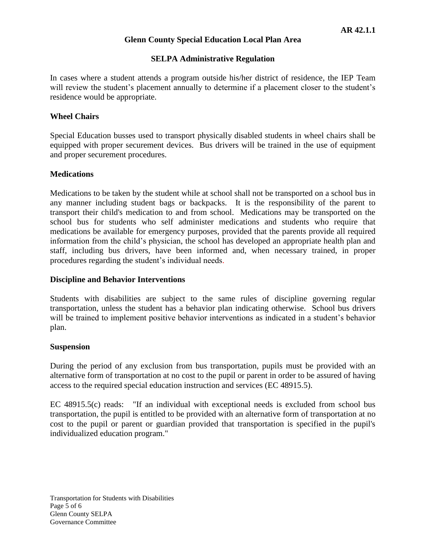# **SELPA Administrative Regulation**

In cases where a student attends a program outside his/her district of residence, the IEP Team will review the student's placement annually to determine if a placement closer to the student's residence would be appropriate.

# **Wheel Chairs**

Special Education busses used to transport physically disabled students in wheel chairs shall be equipped with proper securement devices. Bus drivers will be trained in the use of equipment and proper securement procedures.

### **Medications**

Medications to be taken by the student while at school shall not be transported on a school bus in any manner including student bags or backpacks. It is the responsibility of the parent to transport their child's medication to and from school. Medications may be transported on the school bus for students who self administer medications and students who require that medications be available for emergency purposes, provided that the parents provide all required information from the child's physician, the school has developed an appropriate health plan and staff, including bus drivers, have been informed and, when necessary trained, in proper procedures regarding the student's individual needs.

### **Discipline and Behavior Interventions**

Students with disabilities are subject to the same rules of discipline governing regular transportation, unless the student has a behavior plan indicating otherwise. School bus drivers will be trained to implement positive behavior interventions as indicated in a student's behavior plan.

#### **Suspension**

During the period of any exclusion from bus transportation, pupils must be provided with an alternative form of transportation at no cost to the pupil or parent in order to be assured of having access to the required special education instruction and services (EC 48915.5).

EC 48915.5(c) reads: "If an individual with exceptional needs is excluded from school bus transportation, the pupil is entitled to be provided with an alternative form of transportation at no cost to the pupil or parent or guardian provided that transportation is specified in the pupil's individualized education program."